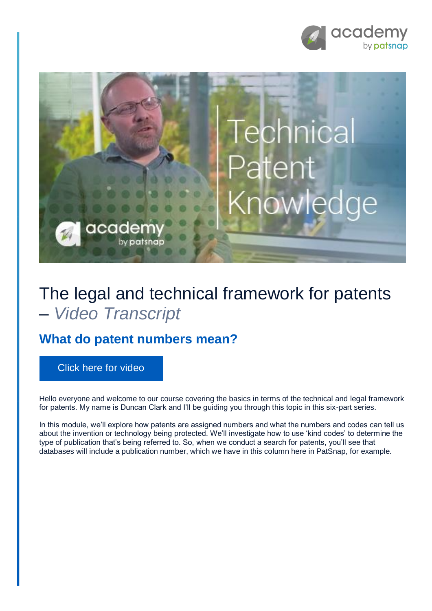



## The legal and technical framework for patents – *Video Transcript*

## **What do patent numbers mean?**

[Click here for video](https://academy.patsnap.com/courses/59bf8b7b7066d400129756ce/units/5a462af502989b0014b3d1a8#module-1)

Hello everyone and welcome to our course covering the basics in terms of the technical and legal framework for patents. My name is Duncan Clark and I'll be guiding you through this topic in this six-part series.

In this module, we'll explore how patents are assigned numbers and what the numbers and codes can tell us about the invention or technology being protected. We'll investigate how to use 'kind codes' to determine the type of publication that's being referred to. So, when we conduct a search for patents, you'll see that databases will include a publication number, which we have in this column here in PatSnap, for example.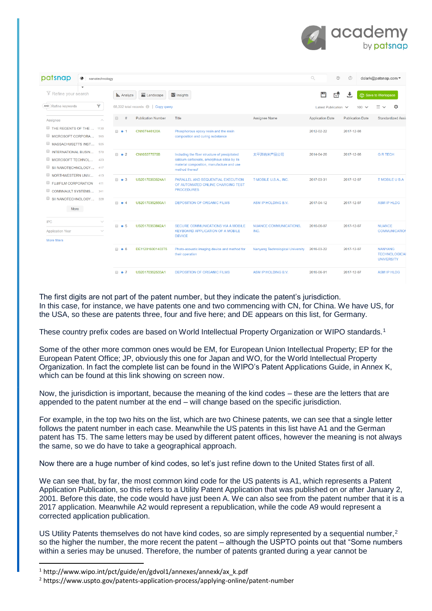

| patsnap<br>◈<br>nanotechnology                                                    |                                                                       |                                               |                                                                                                                                                            |                                       | $\mathcal{O}$<br>6      | $\circledcirc$          | dclark@patsnap.com ▼                                        |
|-----------------------------------------------------------------------------------|-----------------------------------------------------------------------|-----------------------------------------------|------------------------------------------------------------------------------------------------------------------------------------------------------------|---------------------------------------|-------------------------|-------------------------|-------------------------------------------------------------|
| $\checkmark$<br>下 Refine your search                                              | <b>III.</b> Analyze                                                   | Landscape                                     | M Insights                                                                                                                                                 |                                       | 凹<br>$E^{\bullet}$      | 土                       | ြဲ Save to Workspace                                        |
| 7<br>AND Refine keywords                                                          |                                                                       | 68,332 total records <b>ight</b>   Copy query |                                                                                                                                                            |                                       | Latest Publication V    | 100                     |                                                             |
| Assignee<br>$\widehat{\phantom{a}}$                                               | $\qquad \qquad \qquad \qquad \qquad \qquad \qquad \qquad \qquad$<br># | <b>Publication Number</b>                     | Title                                                                                                                                                      | Assignee Name                         | <b>Application Date</b> | <b>Publication Date</b> | Standardized Assi                                           |
| THE REGENTS OF THE  1130<br>MICROSOFT CORPORA 965<br>MASSACHUSETTS INST 925       | $\Box$ $\bullet$ 1                                                    | CN107446120A                                  | Phosphorous epoxy resin and the resin<br>composition and curing substance                                                                                  |                                       | 2012-02-22              | 2017-12-08              |                                                             |
| INTERNATIONAL BUSIN 570<br>MICROSOFT TECHNOL 423<br>SII NANOTECHNOLOGY 417        | $\Box$ $\bullet$ 2                                                    | CN105377575B                                  | Including the fiber structure of precipitated<br>calcium carbonate, amorphous silica by its<br>material composition, manufacture and use<br>method thereof | 太平洋纳米产品公司                             | 2014-04-26              | 2017-12-08              | <b>G R TECH</b>                                             |
| NORTHWESTERN UNIV 413<br>FUJIFILM CORPORATION<br>411<br>COMMVAULT SYSTEMS 341     | $\Box$ $\bullet$ 3                                                    | US20170353524A1                               | PARALLEL AND SEQUENTIAL EXECUTION<br>OF AUTOMATED ONLINE CHARGING TEST<br><b>PROCEDURES</b>                                                                | T-MOBILE U.S.A., INC.                 | 2017-03-31              | 2017-12-07              | <b>TMOBILE USA</b>                                          |
| SII NANOTECHNOLOGY 328<br>More                                                    | $\Box$ $\bullet$ 4                                                    | US20170352550A1                               | <b>DEPOSITION OF ORGANIC FILMS</b>                                                                                                                         | ASM IP HOLDING B.V.                   | 2017-04-12              | 2017-12-07              | <b>ASM IP HLDG</b>                                          |
| <b>IPC</b><br>$\checkmark$<br><b>Application Year</b><br>w<br><b>More filters</b> | $\Box$ $\bullet$ 5                                                    | US20170353842A1                               | SECURE COMMUNICATIONS VIA A MOBILE<br><b>KEYBOARD APPLICATION OF A MOBILE</b><br><b>DEVICE</b>                                                             | <b>NUANCE COMMUNICATIONS.</b><br>INC. | 2016-06-07              | 2017-12-07              | <b>NUANCE</b><br><b>COMMUNICATION</b>                       |
|                                                                                   | $\Box$ $\bullet$ 6                                                    | DE112016001403T5                              | Photo-acoustic imaging device and method for<br>their operation                                                                                            | Nanyang Technological University      | 2016-03-22              | 2017-12-07              | <b>NANYANG</b><br><b>TECHNOLOGICAL</b><br><b>UNIVERSITY</b> |
|                                                                                   | $\Box$ $\land$ 7                                                      | LIS20170352533A1                              | DEPOSITION OF ORGANIC FILMS.                                                                                                                               | ASM IP HOLDING B.V.                   | 2016-06-01              | 2017-12-07              | ASM IP HI DG.                                               |

The first digits are not part of the patent number, but they indicate the patent's jurisdiction. In this case, for instance, we have patents one and two commencing with CN, for China. We have US, for the USA, so these are patents three, four and five here; and DE appears on this list, for Germany.

These country prefix codes are based on World Intellectual Property Organization or WIPO standards.<sup>1</sup>

Some of the other more common ones would be EM, for European Union Intellectual Property; EP for the European Patent Office; JP, obviously this one for Japan and WO, for the World Intellectual Property Organization. In fact the complete list can be found in the WIPO's Patent Applications Guide, in Annex K, which can be found at this link showing on screen now.

Now, the jurisdiction is important, because the meaning of the kind codes – these are the letters that are appended to the patent number at the end – will change based on the specific jurisdiction.

For example, in the top two hits on the list, which are two Chinese patents, we can see that a single letter follows the patent number in each case. Meanwhile the US patents in this list have A1 and the German patent has T5. The same letters may be used by different patent offices, however the meaning is not always the same, so we do have to take a geographical approach.

Now there are a huge number of kind codes, so let's just refine down to the United States first of all.

We can see that, by far, the most common kind code for the US patents is A1, which represents a Patent Application Publication, so this refers to a Utility Patent Application that was published on or after January 2, 2001. Before this date, the code would have just been A. We can also see from the patent number that it is a 2017 application. Meanwhile A2 would represent a republication, while the code A9 would represent a corrected application publication.

US Utility Patents themselves do not have kind codes, so are simply represented by a sequential number,<sup>2</sup> so the higher the number, the more recent the patent – although the USPTO points out that "Some numbers within a series may be unused. Therefore, the number of patents granted during a year cannot be

**.** 

 $1$  http://www.wipo.int/pct/guide/en/gdvol1/annexes/annexk/ax k.pdf

<sup>2</sup> https://www.uspto.gov/patents-application-process/applying-online/patent-number